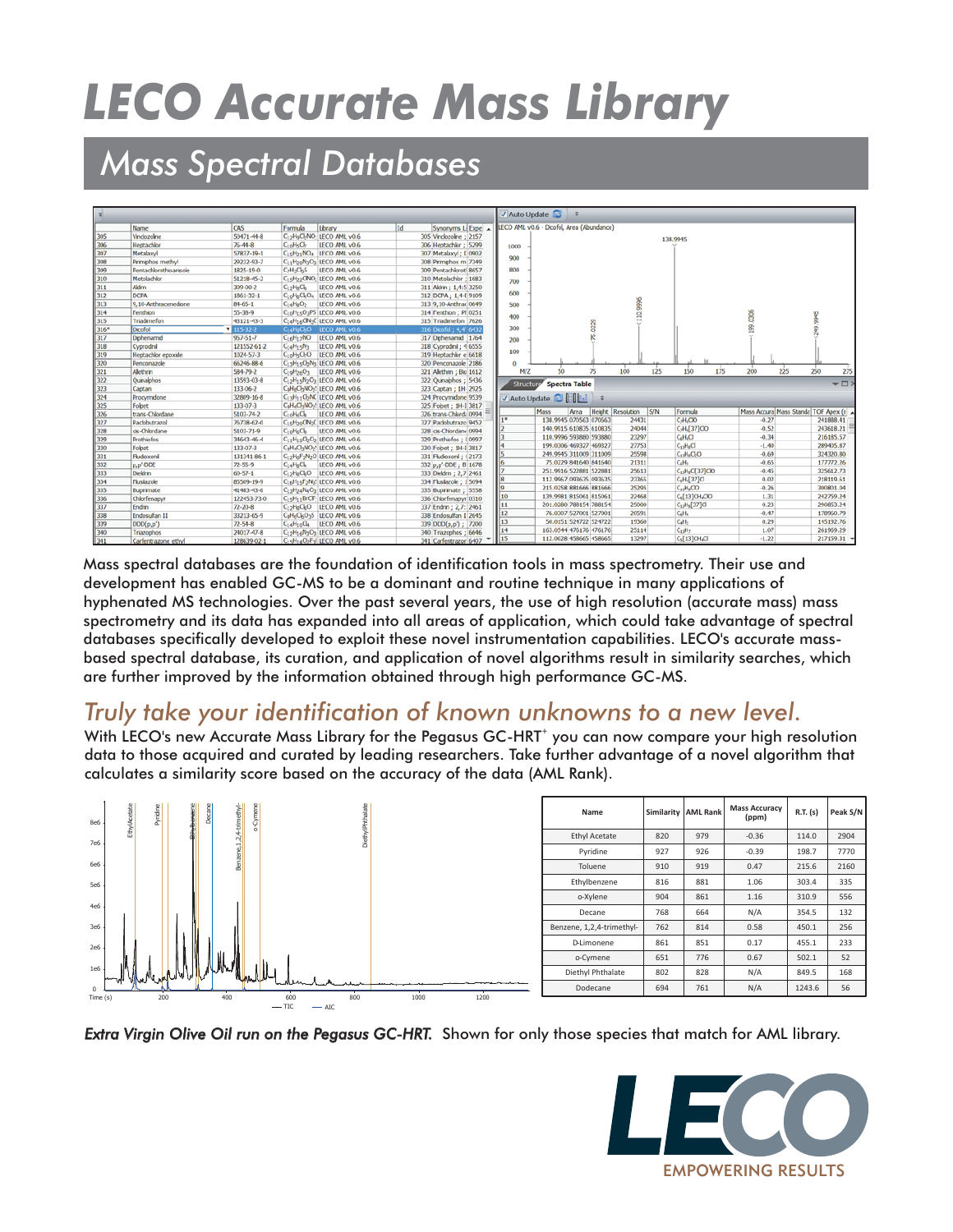# *LECO Accurate Mass Library*

## *Mass Spectral Databases*

|      |                        |               |                                                   |                                                                              |    |                                   |                                           | Auto Update |                        |                   |     |                                         |                                     |                 |  |
|------|------------------------|---------------|---------------------------------------------------|------------------------------------------------------------------------------|----|-----------------------------------|-------------------------------------------|-------------|------------------------|-------------------|-----|-----------------------------------------|-------------------------------------|-----------------|--|
|      | Name                   | CAS           | Formula                                           | Library                                                                      | Id | Synonyms Li Expe A                | LECO AML v0.6 - Dicofol, Area (Abundance) |             |                        |                   |     |                                         |                                     |                 |  |
| 305  | Vinclozoline           | 50471-44-8    |                                                   | C <sub>12</sub> H <sub>9</sub> C <sub>b</sub> NO-LECO AML v0.6               |    | 305 Vndozolne ; 2157              |                                           |             |                        |                   |     |                                         |                                     |                 |  |
| 306  | Heptachlor             | 76-44-8       | $C_{10}H_5O_2$                                    | LECO AML v0.6                                                                |    | 306 Heptachlor: 5299              |                                           |             |                        |                   |     | 138,9945                                |                                     |                 |  |
| 307  | Metalaxvl              | 57837-19-1    |                                                   | C <sub>15</sub> H <sub>21</sub> NO <sub>4</sub> LECO AML v0.6                |    | 307 Metalaxyl ; [ 0902            | 1000                                      |             |                        |                   |     |                                         |                                     |                 |  |
| 308  | Primiphos methyl       | 29232-93-7    |                                                   | C <sub>11</sub> H <sub>20</sub> N <sub>3</sub> O <sub>3</sub> LECO AML v0.6  |    | 308 Primphos m 7349               | 900                                       |             |                        |                   |     |                                         |                                     |                 |  |
| 309  | Pentachlorothioanisole | 1825-19-0     | $C_2H_2C_5S$                                      | LECO AML v0.6                                                                |    | 309 Pentachlorotl 8657            | 800                                       |             |                        |                   |     |                                         |                                     |                 |  |
| 310  | Metolachlor            | 51218-45-2    |                                                   | C15H22CNO: LECO AML v0.6                                                     |    | 310 Metolachlor: 1683             |                                           |             |                        |                   |     |                                         |                                     |                 |  |
| 311  | Akirin                 | 309-00-2      | $C_{12}H_8C_6$                                    | LECO AML v0.6                                                                |    | 311 Aldrin; 1,4:5 3250            | 700                                       |             |                        |                   |     |                                         |                                     |                 |  |
| 312  | <b>DCPA</b>            | 1861-32-1     |                                                   | C <sub>10</sub> H <sub>6</sub> CLO <sub>4</sub> LECO AML v0.6                |    | 312 DCPA; 1,4-E 9109              | 600                                       |             |                        |                   |     |                                         |                                     |                 |  |
| 313  | 9.10-Anthracenedone    | 84-65-1       | C <sub>14</sub> H <sub>8</sub> O <sub>2</sub>     | LECO AML v0.6                                                                |    | 313 9,10-Anthrac 0649             | 500                                       |             |                        | 9995              |     |                                         |                                     |                 |  |
| 314  | Fenthion               | 55-38-9       |                                                   | C10H15O3PS LECO AML v0.6                                                     |    | 314 Fenthion ; Pf 0251            |                                           |             |                        |                   |     |                                         |                                     |                 |  |
| 315  | Triadimefon            | 43121-43-3    |                                                   | C <sub>14</sub> H <sub>16</sub> CN <sub>3</sub> C LECO AML v0.6              |    | 315 Triadimefon 7626              | 400                                       |             |                        | g                 |     |                                         |                                     |                 |  |
| 316* | Dicofol                | $115-32-2$    |                                                   | C <sub>14</sub> H <sub>9</sub> C <sub>k</sub> O LECO AML v0.6                |    | 316 Dicofol; 4,4' 6432            | 300                                       |             |                        |                   |     |                                         |                                     |                 |  |
| 317  | Diphenamid             | 957-51-7      |                                                   | C <sub>16</sub> H <sub>17</sub> NO LECO AML v0.6                             |    | 317 Diphenamid: 1764              | 200                                       |             |                        |                   |     |                                         |                                     |                 |  |
| 318  | Cyprodini              | 121552-61-2   | $C_1$ <sub>4</sub> H <sub>15</sub> N <sub>3</sub> | LECO AML v0.6                                                                |    | 318 Cyprodnil; 4 6555             |                                           |             |                        |                   |     |                                         |                                     |                 |  |
| 319  | Heptachlor epoxide     | 1024-57-3     |                                                   | C10HsCbO LECO AML v0.6                                                       |    | 319 Heptachlor e 6618             | 100                                       |             |                        |                   |     |                                         |                                     |                 |  |
| 320  | Penconazole            | 66246-88-6    |                                                   | C13H15CbN3 LECO AML v0.6                                                     |    | 320 Penconazole 2186              |                                           |             |                        |                   |     |                                         |                                     |                 |  |
| 321  | Alethrin               | 584-79-2      |                                                   | C10H <sub>26</sub> O <sub>3</sub> LECO AML v0.6                              |    | 321 Alethrin ; Bio 1612           | M/Z                                       | 50          | 75                     | 100               | 125 | 150<br>175                              | 225<br>200                          | 250<br>275      |  |
| 322  | Ouinabhos              | 13593-03-8    |                                                   | C <sub>12</sub> H <sub>15</sub> N <sub>2</sub> O <sub>3</sub> LECO AML v0.6  |    | 322 Quinalphos ; 5436             |                                           |             |                        |                   |     |                                         |                                     |                 |  |
| 323  | Captan                 | 133-06-2      |                                                   | CoH6ChNO2! LECO AML v0.6                                                     |    | 323 Captan ; 1H- 2925             | Structure                                 |             | <b>Spectra Table</b>   |                   |     |                                         |                                     | $\overline{+1}$ |  |
| 324  | Procymidone            | 32809-16-8    |                                                   | C <sub>13</sub> H <sub>11</sub> C <sub>2</sub> NC LECO AML v0.6              |    | 324 Procymidone 9539              | Auto Update <b>Callering</b>              |             |                        |                   |     |                                         |                                     |                 |  |
| 325  | Fobet                  | 133-07-3      |                                                   | CoH4Cl3NO2! LECO AML v0.6                                                    |    | 325 Fobet ; 1H-I 3817             |                                           |             |                        |                   |     |                                         |                                     |                 |  |
| 326  | trans-Chlordane        | 5103-74-2     | $C_{10}H_6C_8$                                    | LECO AML v0.6                                                                |    | 326 trans-Chlord; 0994            |                                           | Mass        | Area                   | Height Resolution | S/N | Formula                                 | Mass Accura Mass Standa TOF Apex (r |                 |  |
| 327  | Paclobutrazol          | 76738-62-0    |                                                   | C1sH2nCIN3C LECO AML v0.6                                                    |    | 327 Paclobutrazo 9452             |                                           |             | 138.9945 070563 070563 | 24431             |     | C-H <sub>4</sub> CIO                    | $-0.27$                             | 241888.41       |  |
| 328  | cis-Chlordane          | 5103-71-9     | $C_{10}H_6C_8$                                    | LECO AML v0.6                                                                |    | 328 cis-Chlordane 0994            |                                           |             | 140.9915 610835 610835 | 24044             |     | C <sub>+H<sub>4</sub>[37]CO</sub>       | $-0.52$                             | 243618.21       |  |
| 329  | Prothiofos             | 34643-46-4    |                                                   | $C_{11}H_{15}C_{2}O_{2}$ LECO AML v0.6                                       |    | 329 Prothiofos ; 10997            |                                           |             | 110.9996 593880 593880 | 23297             |     | C <sub>d</sub> H <sub>d</sub> Cl        | $-0.34$                             | 216185.57       |  |
| 330  | Fobet                  | 133-07-3      |                                                   | CoH4Cl3NO2: LECO AML v0.6                                                    |    | 330 Fobet; 1H-I 3817              |                                           |             | 199.0306 469327 469327 | 27753             |     | $C_{xy}H_0Cl$                           | $-1.40$                             | 289405.87       |  |
| 331  | Fludioxoni             | 131341-86-1   |                                                   | C <sub>12</sub> H <sub>6</sub> F <sub>2</sub> N <sub>2</sub> O LECO AML v0.6 |    | 331 Fludioxoni ; (2173            |                                           |             | 249.9945 311009 311009 | 25598             |     | $C1H2Cl2O$                              | $-0.69$                             | 324320.80       |  |
| 332  | p,p'-DDE               | 72-55-9       | $C_{14}H_BCl_4$                                   | LECO AML v0.6                                                                |    | 332 p.p <sup>t</sup> -DDE; B 1678 | l6                                        |             | 75.0229 841640 841640  | 21311             |     | C <sub>z</sub> H <sub>1</sub>           | $-0.65$                             | 177772.26       |  |
| 333  | Dieldrin               | $60 - 57 - 1$ |                                                   | C12HgCkO LECO AML v0.6                                                       |    | 333 Dieldrin; 2,7 2461            |                                           |             | 251.9916 522881 522881 | 25613             |     | C <sub>10</sub> H <sub>1</sub> CI[37]CO | $-0.45$                             | 325612.73       |  |
| 334  | Flusiazole             | 85509-19-9    |                                                   | C16H15F2N3! LECO AML v0.6                                                    |    | 334 Flusilazole ; 15094           |                                           |             | 112.9967 093635 093635 | 23365             |     | C <sub>c</sub> H <sub>4</sub> [37]Cl    | 0.02                                | 218119.61       |  |
| 335  | Bupirimate             | 41483-43-6    |                                                   | C <sub>13</sub> H <sub>24</sub> N <sub>4</sub> O <sub>3</sub> LECO AML v0.6  |    | 335 Bupirimate; 5558              | l9                                        |             | 215.0258 881666 881666 | 25295             |     | $C_{13}H_8CO$                           | $-0.26$                             | 300801.04       |  |
| 336  | Chlorfenaovr           | 122453-73-0   |                                                   | C <sub>15</sub> H <sub>11</sub> BrCF: LECO AML v0.6                          |    | 336 Chlorfenapyr 0310             | 10                                        |             | 139.9981 815061 815061 | 22468             |     | C <sub>4</sub> [13]CH <sub>4</sub> CO   | 1.31                                | 242759.24       |  |
| 337  | Endrin                 | $72 - 20 - 8$ |                                                   | C <sub>12</sub> H <sub>B</sub> C <sub>6</sub> O LECO AML v0.6                |    | 337 Endrin ; 2,7: 2461            | $\vert$ 11                                |             | 201.0280 788154 788154 | 25000             |     | C <sub>12</sub> H <sub>8</sub> [37]Cl   | 0.23                                | 290853.24       |  |
| 338  | Endosulfan II          | 33213-65-9    |                                                   | CoH6C6O3S LECO AML v0.6                                                      |    | 338 Endosulfan I 2645             | $\vert$ 12                                |             | 76.0307 527001 527001  | 20591             |     | $C_4H_4$                                | $-0.47$                             | 178960.79       |  |
| 339  | DD(p,p')               | 72-54-8       |                                                   | C <sub>14</sub> H <sub>10</sub> C <sub>4</sub> LECO AML v0.6                 |    | 339 DDD(p,p'); 7200               | $\vert$ 13                                |             | 50.0151 524722 524722  | 19360             |     | CH <sub>2</sub>                         | 0.29                                | 145192.76       |  |
| 340  | Triazophos             | 24017-47-8    |                                                   | C <sub>12</sub> H <sub>16</sub> N <sub>3</sub> O <sub>3</sub> LECO AML v0.6  |    | 340 Triazophos ; 6646             | 14                                        |             | 163.0544 476176 476176 | 25114             |     | C <sub>12</sub> H <sub>2</sub>          | 1.07                                | 261969.29       |  |
| 341  | Carfentrazone ethyl    | 128639-02-1   |                                                   | C15H14CbF3LLECO AML v0.6                                                     |    | 341 Carfentrazor 6407<br>٠        | $\frac{1}{15}$                            |             | 112.0028 458665 458665 | 13297             |     | C <sub>s</sub> [13]CH <sub>s</sub> Cl   | $-1.22$                             | $217159.31$ -   |  |

Mass spectral databases are the foundation of identification tools in mass spectrometry. Their use and development has enabled GC-MS to be a dominant and routine technique in many applications of hyphenated MS technologies. Over the past several years, the use of high resolution (accurate mass) mass spectrometry and its data has expanded into all areas of application, which could take advantage of spectral databases specifically developed to exploit these novel instrumentation capabilities. LECO's accurate massbased spectral database, its curation, and application of novel algorithms result in similarity searches, which are further improved by the information obtained through high performance GC-MS.

## *Truly take your identification of known unknowns to a new level.*

With LECO's new Accurate Mass Library for the Pegasus GC-HRT<sup>+</sup> you can now compare your high resolution data to those acquired and curated by leading researchers. Take further advantage of a novel algorithm that calculates a similarity score based on the accuracy of the data (AML Rank).



*Extra Virgin Olive Oil run on the Pegasus GC-HRT.* Shown for only those species that match for AML library.